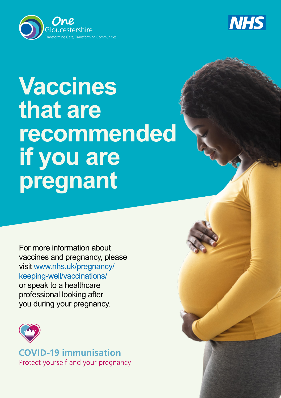



# **Vaccines that are recommended if you are pregnant**

For more information about vaccines and pregnancy, please visit www.nhs.uk/pregnancy/ keeping-well/vaccinations/ or speak to a healthcare professional looking after you during your pregnancy.



**COVID-19 immunisation** Protect yourself and your pregnancy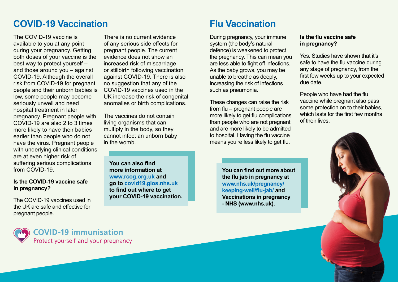# **COVID-19 Vaccination Flu Vaccination**

The COVID-19 vaccine is available to you at any point during your pregnancy. Getting both doses of your vaccine is the best way to protect yourself – and those around you – against COVID-19. Although the overall risk from COVID-19 for pregnant people and their unborn babies is low, some people may become seriously unwell and need hospital treatment in later pregnancy. Pregnant people with COVID-19 are also 2 to 3 times more likely to have their babies earlier than people who do not have the virus. Pregnant people with underlying clinical conditions are at even higher risk of suffering serious complications from COVID-19.

### **Is the COVID-19 vaccine safe in pregnancy?**

The COVID-19 vaccines used in the UK are safe and effective for pregnant people.

There is no current evidence of any serious side effects for pregnant people. The current evidence does not show an increased risk of miscarriage or stillbirth following vaccination against COVID-19. There is also no suggestion that any of the COVID-19 vaccines used in the UK increase the risk of congenital anomalies or birth complications.

The vaccines do not contain living organisms that can multiply in the body, so they cannot infect an unborn baby in the womb.

**You can also find more information at www.rcog.org.uk and go to covid19.glos.nhs.uk to find out where to get your COVID-19 vaccination.**

During pregnancy, your immune system (the body's natural defence) is weakened to protect the pregnancy. This can mean you are less able to fight off infections. As the baby grows, you may be unable to breathe as deeply, increasing the risk of infections such as pneumonia.

These changes can raise the risk from flu – pregnant people are more likely to get flu complications than people who are not pregnant and are more likely to be admitted to hospital. Having the flu vaccine means you're less likely to get flu.

> **You can find out more about the flu jab in pregnancy at www.nhs.uk/pregnancy/ keeping-well/flu-jab/ and Vaccinations in pregnancy - NHS (www.nhs.uk).**

### **Is the flu vaccine safe in pregnancy?**

Yes. Studies have shown that it's safe to have the flu vaccine during any stage of pregnancy, from the first few weeks up to your expected due date.

People who have had the flu vaccine while pregnant also pass some protection on to their babies, which lasts for the first few months of their lives.



**COVID-19 immunisation** Protect yourself and your pregnancy